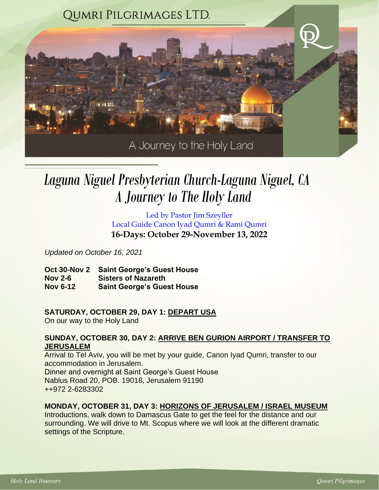

# *A Journey to The Holy Land Laguna Niguel Presbyterian Church-Laguna Niguel, CA*

Led by Pastor Jim Szeyller Local Guide Canon Iyad Qumri & Rami Qumri **16-Days: October 29-November 13, 2022**

*Updated on October 16, 2021*

**Oct 30-Nov 2 Saint George's Guest House Nov 2-6 Sisters of Nazareth Nov 6-12 Saint George's Guest House**

# **SATURDAY, OCTOBER 29, DAY 1: DEPART USA**

On our way to the Holy Land

## **SUNDAY, OCTOBER 30, DAY 2: ARRIVE BEN GURION AIRPORT / TRANSFER TO JERUSALEM**

Arrival to Tel Aviv, you will be met by your guide, Canon Iyad Qumri, transfer to our accommodation in Jerusalem. Dinner and overnight at Saint George's Guest House Nablus Road 20, POB. 19018, Jerusalem 91190 ++972 2-6283302

# **MONDAY, OCTOBER 31, DAY 3: HORIZONS OF JERUSALEM / ISRAEL MUSEUM**

Introductions, walk down to Damascus Gate to get the feel for the distance and our surrounding. We will drive to Mt. Scopus where we will look at the different dramatic settings of the Scripture.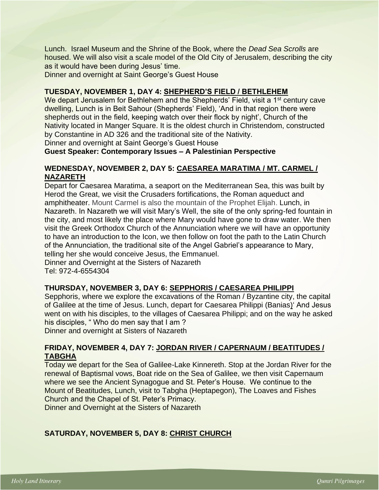Lunch. Israel Museum and the Shrine of the Book, where the *Dead Sea Scrolls* are housed. We will also visit a scale model of the Old City of Jerusalem, describing the city as it would have been during Jesus' time.

Dinner and overnight at Saint George's Guest House

## **TUESDAY, NOVEMBER 1, DAY 4: SHEPHERD'S FIELD / BETHLEHEM**

We depart Jerusalem for Bethlehem and the Shepherds' Field, visit a 1<sup>st</sup> century cave dwelling, Lunch is in Beit Sahour (Shepherds' Field), 'And in that region there were shepherds out in the field, keeping watch over their flock by night', Church of the Nativity located in Manger Square. It is the oldest church in Christendom, constructed by Constantine in AD 326 and the traditional site of the Nativity.

Dinner and overnight at Saint George's Guest House

**Guest Speaker: Contemporary Issues – A Palestinian Perspective**

#### **WEDNESDAY, NOVEMBER 2, DAY 5: CAESAREA MARATIMA / MT. CARMEL / NAZARETH**

Depart for Caesarea Maratima, a seaport on the Mediterranean Sea, this was built by Herod the Great, we visit the Crusaders fortifications, the Roman aqueduct and amphitheater. Mount Carmel is also the mountain of the Prophet Elijah. Lunch, in Nazareth. In Nazareth we will visit Mary's Well, the site of the only spring-fed fountain in the city, and most likely the place where Mary would have gone to draw water. We then visit the Greek Orthodox Church of the Annunciation where we will have an opportunity to have an introduction to the Icon, we then follow on foot the path to the Latin Church of the Annunciation, the traditional site of the Angel Gabriel's appearance to Mary, telling her she would conceive Jesus, the Emmanuel. Dinner and Overnight at the Sisters of Nazareth Tel: 972-4-6554304

#### **THURSDAY, NOVEMBER 3, DAY 6: SEPPHORIS / CAESAREA PHILIPPI**

Sepphoris, where we explore the excavations of the Roman / Byzantine city, the capital of Galilee at the time of Jesus. Lunch, depart for Caesarea Philippi (Banias)' And Jesus went on with his disciples, to the villages of Caesarea Philippi; and on the way he asked his disciples, "Who do men say that I am?

Dinner and overnight at Sisters of Nazareth

## **FRIDAY, NOVEMBER 4, DAY 7: JORDAN RIVER / CAPERNAUM / BEATITUDES / TABGHA**

Today we depart for the Sea of Galilee-Lake Kinnereth. Stop at the Jordan River for the renewal of Baptismal vows, Boat ride on the Sea of Galilee, we then visit Capernaum where we see the Ancient Synagogue and St. Peter's House. We continue to the Mount of Beatitudes, Lunch, visit to Tabgha (Heptapegon), The Loaves and Fishes Church and the Chapel of St. Peter's Primacy.

Dinner and Overnight at the Sisters of Nazareth

# **SATURDAY, NOVEMBER 5, DAY 8: CHRIST CHURCH**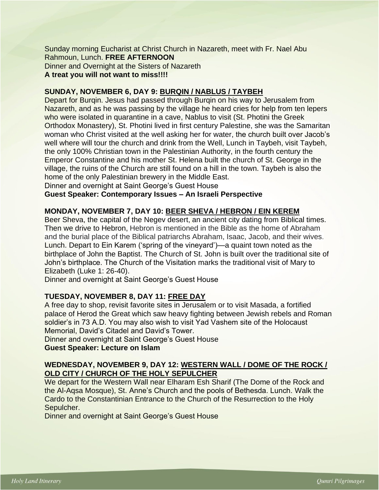Sunday morning Eucharist at Christ Church in Nazareth, meet with Fr. Nael Abu Rahmoun, Lunch. **FREE AFTERNOON** Dinner and Overnight at the Sisters of Nazareth **A treat you will not want to miss!!!!**

## **SUNDAY, NOVEMBER 6, DAY 9: BURQIN / NABLUS / TAYBEH**

Depart for Burqin. Jesus had passed through Burqin on his way to Jerusalem from Nazareth, and as he was passing by the village he heard cries for help from ten lepers who were isolated in quarantine in a cave, Nablus to visit (St. Photini the Greek Orthodox Monastery), St. Photini lived in first century Palestine, she was the Samaritan woman who Christ visited at the well asking her for water, the church built over Jacob's well where will tour the church and drink from the Well, Lunch in Taybeh, visit Taybeh, the only 100% Christian town in the Palestinian Authority, in the fourth century the Emperor Constantine and his mother St. Helena built the church of St. George in the village, the ruins of the Church are still found on a hill in the town. Taybeh is also the home of the only Palestinian brewery in the Middle East.

Dinner and overnight at Saint George's Guest House

**Guest Speaker: Contemporary Issues – An Israeli Perspective**

## **MONDAY, NOVEMBER 7, DAY 10: BEER SHEVA / HEBRON / EIN KEREM**

Beer Sheva, the capital of the Negev desert, an ancient city dating from Biblical times. Then we drive to Hebron, Hebron is mentioned in the Bible as the home of Abraham and the burial place of the Biblical patriarchs Abraham, Isaac, Jacob, and their wives. Lunch. Depart to Ein Karem ('spring of the vineyard')—a quaint town noted as the birthplace of John the Baptist. The Church of St. John is built over the traditional site of John's birthplace. The Church of the Visitation marks the traditional visit of Mary to Elizabeth (Luke 1: 26-40).

Dinner and overnight at Saint George's Guest House

# **TUESDAY, NOVEMBER 8, DAY 11: FREE DAY**

A free day to shop, revisit favorite sites in Jerusalem or to visit Masada, a fortified palace of Herod the Great which saw heavy fighting between Jewish rebels and Roman soldier's in 73 A.D. You may also wish to visit Yad Vashem site of the Holocaust Memorial, David's Citadel and David's Tower.

Dinner and overnight at Saint George's Guest House **Guest Speaker: Lecture on Islam**

## **WEDNESDAY, NOVEMBER 9, DAY 12: WESTERN WALL / DOME OF THE ROCK / OLD CITY / CHURCH OF THE HOLY SEPULCHER**

We depart for the Western Wall near Elharam Esh Sharif (The Dome of the Rock and the Al-Aqsa Mosque), St. Anne's Church and the pools of Bethesda. Lunch. Walk the Cardo to the Constantinian Entrance to the Church of the Resurrection to the Holy Sepulcher.

Dinner and overnight at Saint George's Guest House